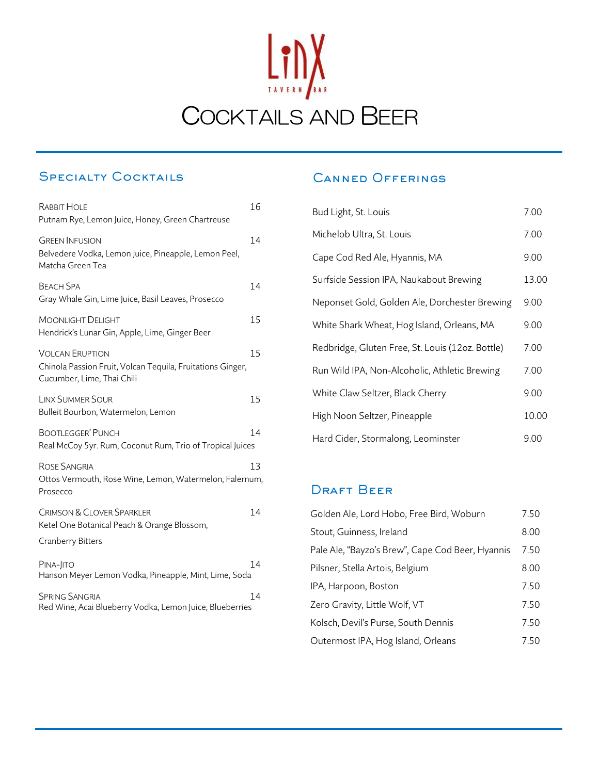

# **SPECIALTY COCKTAILS**

| RABBIT HOLE<br>Putnam Rye, Lemon Juice, Honey, Green Chartreuse                                                    | 16 |
|--------------------------------------------------------------------------------------------------------------------|----|
| <b>GREEN INFUSION</b><br>Belvedere Vodka, Lemon Juice, Pineapple, Lemon Peel,<br>Matcha Green Tea                  | 14 |
| <b>BEACH SPA</b><br>Gray Whale Gin, Lime Juice, Basil Leaves, Prosecco                                             | 14 |
| <b>MOONLIGHT DELIGHT</b><br>Hendrick's Lunar Gin, Apple, Lime, Ginger Beer                                         | 15 |
| <b>VOLCAN ERUPTION</b><br>Chinola Passion Fruit, Volcan Tequila, Fruitations Ginger,<br>Cucumber, Lime, Thai Chili | 15 |
| <b>LINX SUMMER SOUR</b><br>Bulleit Bourbon, Watermelon, Lemon                                                      | 15 |
| <b>BOOTLEGGER' PUNCH</b><br>Real McCoy 5yr. Rum, Coconut Rum, Trio of Tropical Juices                              | 14 |
| <b>ROSE SANGRIA</b><br>Ottos Vermouth, Rose Wine, Lemon, Watermelon, Falernum,<br>Prosecco                         | 13 |
| <b>CRIMSON &amp; CLOVER SPARKLER</b><br>Ketel One Botanical Peach & Orange Blossom,                                | 14 |
| Cranberry Bitters                                                                                                  |    |
| PINA-JITO<br>Hanson Meyer Lemon Vodka, Pineapple, Mint, Lime, Soda                                                 | 14 |
| <b>SPRING SANGRIA</b><br>Red Wine, Acai Blueberry Vodka, Lemon Juice, Blueberries                                  | 14 |

### **CANNED OFFERINGS**

| Bud Light, St. Louis                             | 7.00  |
|--------------------------------------------------|-------|
| Michelob Ultra, St. Louis                        | 7.00  |
| Cape Cod Red Ale, Hyannis, MA                    | 9.00  |
| Surfside Session IPA, Naukabout Brewing          | 13.00 |
| Neponset Gold, Golden Ale, Dorchester Brewing    | 9.00  |
| White Shark Wheat, Hog Island, Orleans, MA       | 9.00  |
| Redbridge, Gluten Free, St. Louis (12oz. Bottle) | 7.00  |
| Run Wild IPA, Non-Alcoholic, Athletic Brewing    | 7.00  |
| White Claw Seltzer, Black Cherry                 | 9.00  |
| High Noon Seltzer, Pineapple                     | 10.00 |
| Hard Cider, Stormalong, Leominster               | 9.00  |

### **DRAFT BEER**

| Golden Ale, Lord Hobo, Free Bird, Woburn         | 7.50 |
|--------------------------------------------------|------|
| Stout, Guinness, Ireland                         | 8.00 |
| Pale Ale, "Bayzo's Brew", Cape Cod Beer, Hyannis | 7.50 |
| Pilsner, Stella Artois, Belgium                  | 8.00 |
| IPA, Harpoon, Boston                             | 7.50 |
| Zero Gravity, Little Wolf, VT                    | 7.50 |
| Kolsch, Devil's Purse, South Dennis              | 7.50 |
| Outermost IPA, Hog Island, Orleans               | 7.50 |